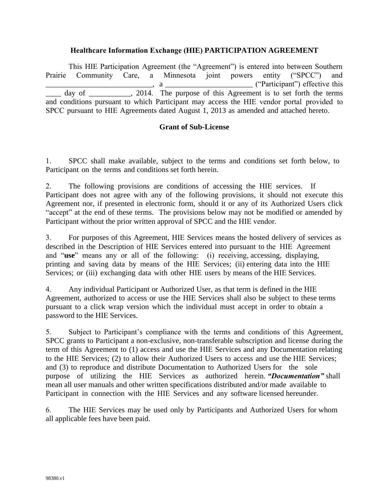#### **Healthcare Information Exchange (HIE) PARTICIPATION AGREEMENT**

This HIE Participation Agreement (the "Agreement") is entered into between Southern Prairie Community Care, a Minnesota joint powers entity ("SPCC") and \_\_\_\_\_\_\_\_\_\_\_\_\_\_\_\_\_\_\_\_\_\_\_\_\_\_\_\_, a \_\_\_\_\_\_\_\_\_\_\_\_\_\_\_\_\_\_\_\_\_\_\_ ("Participant") effective this day of cases, 2014. The purpose of this Agreement is to set forth the terms and conditions pursuant to which Participant may access the HIE vendor portal provided to SPCC pursuant to HIE Agreements dated August 1, 2013 as amended and attached hereto.

#### **Grant of Sub-License**

1. SPCC shall make available, subject to the terms and conditions set forth below, to Participant on the terms and conditions set forth herein.

2. The following provisions are conditions of accessing the HIE services. If Participant does not agree with any of the following provisions, it should not execute this Agreement nor, if presented in electronic form, should it or any of its Authorized Users click "accept" at the end of these terms. The provisions below may not be modified or amended by Participant without the prior written approval of SPCC and the HIE vendor.

3. For purposes of this Agreement, HIE Services means the hosted delivery of services as described in the Description of HIE Services entered into pursuant to the HIE Agreement and "**use**" means any or all of the following: (i) receiving, accessing, displaying, printing and saving data by means of the HIE Services; (ii) entering data into the HIE Services; or (iii) exchanging data with other HIE users by means of the HIE Services.

4. Any individual Participant or Authorized User, as that term is defined in the HIE Agreement, authorized to access or use the HIE Services shall also be subject to these terms pursuant to a click wrap version which the individual must accept in order to obtain a password to the HIE Services.

5. Subject to Participant's compliance with the terms and conditions of this Agreement, SPCC grants to Participant a non-exclusive, non-transferable subscription and license during the term of this Agreement to (1) access and use the HIE Services and any Documentation relating to the HIE Services; (2) to allow their Authorized Users to access and use the HIE Services; and (3) to reproduce and distribute Documentation to Authorized Users for the sole purpose of utilizing the HIE Services as authorized herein. *"Documentation"* shall mean all user manuals and other written specifications distributed and/or made available to Participant in connection with the HIE Services and any software licensed hereunder.

6. The HIE Services may be used only by Participants and Authorized Users for whom all applicable fees have been paid.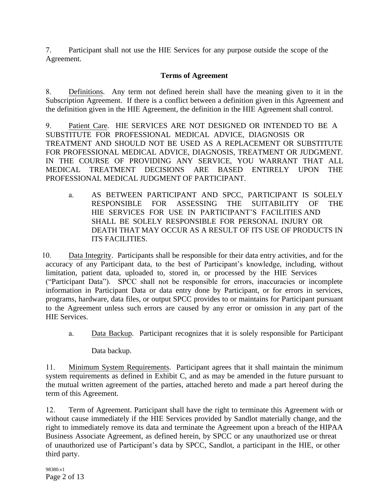7. Participant shall not use the HIE Services for any purpose outside the scope of the Agreement.

## **Terms of Agreement**

8. Definitions. Any term not defined herein shall have the meaning given to it in the Subscription Agreement. If there is a conflict between a definition given in this Agreement and the definition given in the HIE Agreement, the definition in the HIE Agreement shall control.

9. Patient Care. HIE SERVICES ARE NOT DESIGNED OR INTENDED TO BE A SUBSTITUTE FOR PROFESSIONAL MEDICAL ADVICE, DIAGNOSIS OR TREATMENT AND SHOULD NOT BE USED AS A REPLACEMENT OR SUBSTITUTE FOR PROFESSIONAL MEDICAL ADVICE, DIAGNOSIS, TREATMENT OR JUDGMENT. IN THE COURSE OF PROVIDING ANY SERVICE, YOU WARRANT THAT ALL MEDICAL TREATMENT DECISIONS ARE BASED ENTIRELY UPON THE PROFESSIONAL MEDICAL JUDGMENT OF PARTICIPANT.

a. AS BETWEEN PARTICIPANT AND SPCC, PARTICIPANT IS SOLELY RESPONSIBLE FOR ASSESSING THE SUITABILITY OF THE HIE SERVICES FOR USE IN PARTICIPANT'S FACILITIES AND SHALL BE SOLELY RESPONSIBLE FOR PERSONAL INJURY OR DEATH THAT MAY OCCUR AS A RESULT OF ITS USE OF PRODUCTS IN ITS FACILITIES.

10. Data Integrity. Participants shall be responsible for their data entry activities, and for the accuracy of any Participant data, to the best of Participant's knowledge, including, without limitation, patient data, uploaded to, stored in, or processed by the HIE Services ("Participant Data"). SPCC shall not be responsible for errors, inaccuracies or incomplete information in Participant Data or data entry done by Participant, or for errors in services, programs, hardware, data files, or output SPCC provides to or maintains for Participant pursuant to the Agreement unless such errors are caused by any error or omission in any part of the HIE Services.

a. Data Backup. Participant recognizes that it is solely responsible for Participant

Data backup.

11. Minimum System Requirements. Participant agrees that it shall maintain the minimum system requirements as defined in Exhibit C, and as may be amended in the future pursuant to the mutual written agreement of the parties, attached hereto and made a part hereof during the term of this Agreement.

12. Term of Agreement. Participant shall have the right to terminate this Agreement with or without cause immediately if the HIE Services provided by Sandlot materially change, and the right to immediately remove its data and terminate the Agreement upon a breach of the HIPAA Business Associate Agreement, as defined herein, by SPCC or any unauthorized use or threat of unauthorized use of Participant's data by SPCC, Sandlot, a participant in the HIE, or other third party.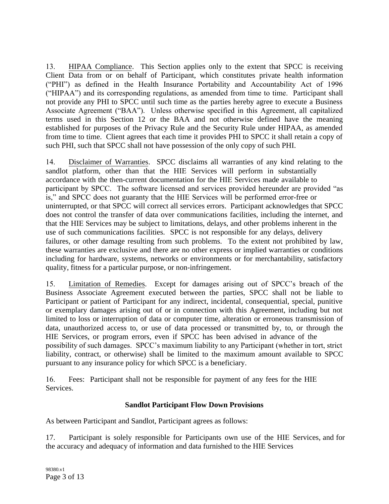13. HIPAA Compliance. This Section applies only to the extent that SPCC is receiving Client Data from or on behalf of Participant, which constitutes private health information ("PHI") as defined in the Health Insurance Portability and Accountability Act of 1996 ("HIPAA") and its corresponding regulations, as amended from time to time. Participant shall not provide any PHI to SPCC until such time as the parties hereby agree to execute a Business Associate Agreement ("BAA"). Unless otherwise specified in this Agreement, all capitalized terms used in this Section 12 or the BAA and not otherwise defined have the meaning established for purposes of the Privacy Rule and the Security Rule under HIPAA, as amended from time to time. Client agrees that each time it provides PHI to SPCC it shall retain a copy of such PHI, such that SPCC shall not have possession of the only copy of such PHI.

14. Disclaimer of Warranties. SPCC disclaims all warranties of any kind relating to the sandlot platform, other than that the HIE Services will perform in substantially accordance with the then-current documentation for the HIE Services made available to participant by SPCC. The software licensed and services provided hereunder are provided "as is," and SPCC does not guaranty that the HIE Services will be performed error-free or uninterrupted, or that SPCC will correct all services errors. Participant acknowledges that SPCC does not control the transfer of data over communications facilities, including the internet, and that the HIE Services may be subject to limitations, delays, and other problems inherent in the use of such communications facilities. SPCC is not responsible for any delays, delivery failures, or other damage resulting from such problems. To the extent not prohibited by law, these warranties are exclusive and there are no other express or implied warranties or conditions including for hardware, systems, networks or environments or for merchantability, satisfactory quality, fitness for a particular purpose, or non-infringement.

15. Limitation of Remedies. Except for damages arising out of SPCC's breach of the Business Associate Agreement executed between the parties, SPCC shall not be liable to Participant or patient of Participant for any indirect, incidental, consequential, special, punitive or exemplary damages arising out of or in connection with this Agreement, including but not limited to loss or interruption of data or computer time, alteration or erroneous transmission of data, unauthorized access to, or use of data processed or transmitted by, to, or through the HIE Services, or program errors, even if SPCC has been advised in advance of the possibility of such damages. SPCC's maximum liability to any Participant (whether in tort, strict liability, contract, or otherwise) shall be limited to the maximum amount available to SPCC pursuant to any insurance policy for which SPCC is a beneficiary.

16. Fees: Participant shall not be responsible for payment of any fees for the HIE Services.

# **Sandlot Participant Flow Down Provisions**

As between Participant and Sandlot, Participant agrees as follows:

17. Participant is solely responsible for Participants own use of the HIE Services, and for the accuracy and adequacy of information and data furnished to the HIE Services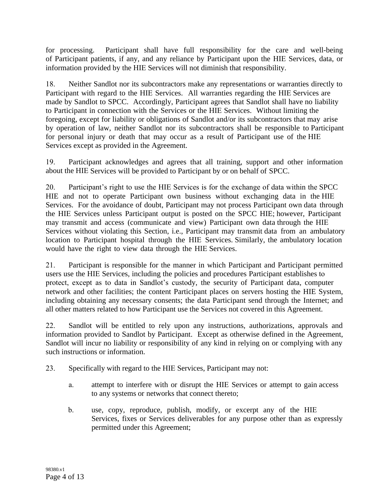for processing. Participant shall have full responsibility for the care and well-being of Participant patients, if any, and any reliance by Participant upon the HIE Services, data, or information provided by the HIE Services will not diminish that responsibility.

18. Neither Sandlot nor its subcontractors make any representations or warranties directly to Participant with regard to the HIE Services. All warranties regarding the HIE Services are made by Sandlot to SPCC. Accordingly, Participant agrees that Sandlot shall have no liability to Participant in connection with the Services or the HIE Services. Without limiting the foregoing, except for liability or obligations of Sandlot and/or its subcontractors that may arise by operation of law, neither Sandlot nor its subcontractors shall be responsible to Participant for personal injury or death that may occur as a result of Participant use of the HIE Services except as provided in the Agreement.

19. Participant acknowledges and agrees that all training, support and other information about the HIE Services will be provided to Participant by or on behalf of SPCC.

20. Participant's right to use the HIE Services is for the exchange of data within the SPCC HIE and not to operate Participant own business without exchanging data in the HIE Services. For the avoidance of doubt, Participant may not process Participant own data through the HIE Services unless Participant output is posted on the SPCC HIE; however, Participant may transmit and access (communicate and view) Participant own data through the HIE Services without violating this Section, i.e., Participant may transmit data from an ambulatory location to Participant hospital through the HIE Services. Similarly, the ambulatory location would have the right to view data through the HIE Services.

21. Participant is responsible for the manner in which Participant and Participant permitted users use the HIE Services, including the policies and procedures Participant establishes to protect, except as to data in Sandlot's custody, the security of Participant data, computer network and other facilities; the content Participant places on servers hosting the HIE System, including obtaining any necessary consents; the data Participant send through the Internet; and all other matters related to how Participant use the Services not covered in this Agreement.

22. Sandlot will be entitled to rely upon any instructions, authorizations, approvals and information provided to Sandlot by Participant. Except as otherwise defined in the Agreement, Sandlot will incur no liability or responsibility of any kind in relying on or complying with any such instructions or information.

- 23. Specifically with regard to the HIE Services, Participant may not:
	- a. attempt to interfere with or disrupt the HIE Services or attempt to gain access to any systems or networks that connect thereto;
	- b. use, copy, reproduce, publish, modify, or excerpt any of the HIE Services, fixes or Services deliverables for any purpose other than as expressly permitted under this Agreement;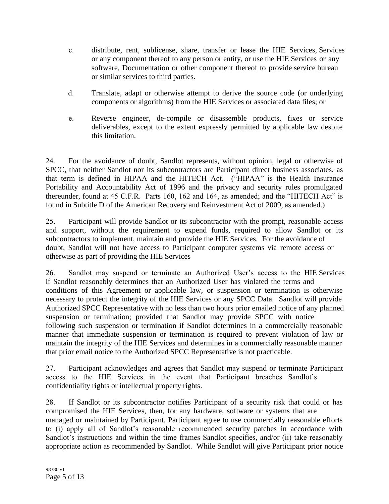- c. distribute, rent, sublicense, share, transfer or lease the HIE Services, Services or any component thereof to any person or entity, or use the HIE Services or any software, Documentation or other component thereof to provide service bureau or similar services to third parties.
- d. Translate, adapt or otherwise attempt to derive the source code (or underlying components or algorithms) from the HIE Services or associated data files; or
- e. Reverse engineer, de-compile or disassemble products, fixes or service deliverables, except to the extent expressly permitted by applicable law despite this limitation.

24. For the avoidance of doubt, Sandlot represents, without opinion, legal or otherwise of SPCC, that neither Sandlot nor its subcontractors are Participant direct business associates, as that term is defined in HIPAA and the HITECH Act. ("HIPAA" is the Health Insurance Portability and Accountability Act of 1996 and the privacy and security rules promulgated thereunder, found at 45 C.F.R. Parts 160, 162 and 164, as amended; and the "HITECH Act" is found in Subtitle D of the American Recovery and Reinvestment Act of 2009, as amended.)

25. Participant will provide Sandlot or its subcontractor with the prompt, reasonable access and support, without the requirement to expend funds, required to allow Sandlot or its subcontractors to implement, maintain and provide the HIE Services. For the avoidance of doubt, Sandlot will not have access to Participant computer systems via remote access or otherwise as part of providing the HIE Services

26. Sandlot may suspend or terminate an Authorized User's access to the HIE Services if Sandlot reasonably determines that an Authorized User has violated the terms and conditions of this Agreement or applicable law, or suspension or termination is otherwise necessary to protect the integrity of the HIE Services or any SPCC Data. Sandlot will provide Authorized SPCC Representative with no less than two hours prior emailed notice of any planned suspension or termination; provided that Sandlot may provide SPCC with notice following such suspension or termination if Sandlot determines in a commercially reasonable manner that immediate suspension or termination is required to prevent violation of law or maintain the integrity of the HIE Services and determines in a commercially reasonable manner that prior email notice to the Authorized SPCC Representative is not practicable.

27. Participant acknowledges and agrees that Sandlot may suspend or terminate Participant access to the HIE Services in the event that Participant breaches Sandlot's confidentiality rights or intellectual property rights.

28. If Sandlot or its subcontractor notifies Participant of a security risk that could or has compromised the HIE Services, then, for any hardware, software or systems that are managed or maintained by Participant, Participant agree to use commercially reasonable efforts to (i) apply all of Sandlot's reasonable recommended security patches in accordance with Sandlot's instructions and within the time frames Sandlot specifies, and/or (ii) take reasonably appropriate action as recommended by Sandlot. While Sandlot will give Participant prior notice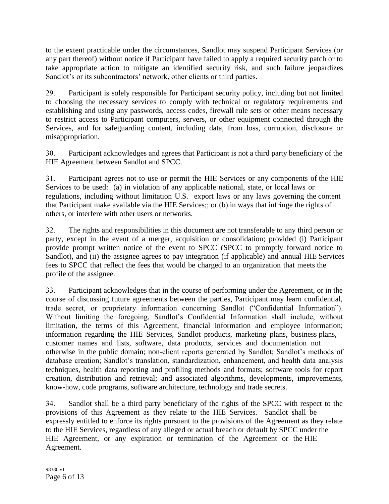to the extent practicable under the circumstances, Sandlot may suspend Participant Services (or any part thereof) without notice if Participant have failed to apply a required security patch or to take appropriate action to mitigate an identified security risk, and such failure jeopardizes Sandlot's or its subcontractors' network, other clients or third parties.

29. Participant is solely responsible for Participant security policy, including but not limited to choosing the necessary services to comply with technical or regulatory requirements and establishing and using any passwords, access codes, firewall rule sets or other means necessary to restrict access to Participant computers, servers, or other equipment connected through the Services, and for safeguarding content, including data, from loss, corruption, disclosure or misappropriation.

30. Participant acknowledges and agrees that Participant is not a third party beneficiary of the HIE Agreement between Sandlot and SPCC.

31. Participant agrees not to use or permit the HIE Services or any components of the HIE Services to be used: (a) in violation of any applicable national, state, or local laws or regulations, including without limitation U.S. export laws or any laws governing the content that Participant make available via the HIE Services;; or (b) in ways that infringe the rights of others, or interfere with other users or networks.

32. The rights and responsibilities in this document are not transferable to any third person or party, except in the event of a merger, acquisition or consolidation; provided (i) Participant provide prompt written notice of the event to SPCC (SPCC to promptly forward notice to Sandlot), and (ii) the assignee agrees to pay integration (if applicable) and annual HIE Services fees to SPCC that reflect the fees that would be charged to an organization that meets the profile of the assignee.

33. Participant acknowledges that in the course of performing under the Agreement, or in the course of discussing future agreements between the parties, Participant may learn confidential, trade secret, or proprietary information concerning Sandlot ("Confidential Information"). Without limiting the foregoing, Sandlot's Confidential Information shall include, without limitation, the terms of this Agreement, financial information and employee information; information regarding the HIE Services, Sandlot products, marketing plans, business plans, customer names and lists, software, data products, services and documentation not otherwise in the public domain; non-client reports generated by Sandlot; Sandlot's methods of database creation; Sandlot's translation, standardization, enhancement, and health data analysis techniques, health data reporting and profiling methods and formats; software tools for report creation, distribution and retrieval; and associated algorithms, developments, improvements, know-how, code programs, software architecture, technology and trade secrets.

34. Sandlot shall be a third party beneficiary of the rights of the SPCC with respect to the provisions of this Agreement as they relate to the HIE Services. Sandlot shall be expressly entitled to enforce its rights pursuant to the provisions of the Agreement as they relate to the HIE Services, regardless of any alleged or actual breach or default by SPCC under the HIE Agreement, or any expiration or termination of the Agreement or the HIE Agreement.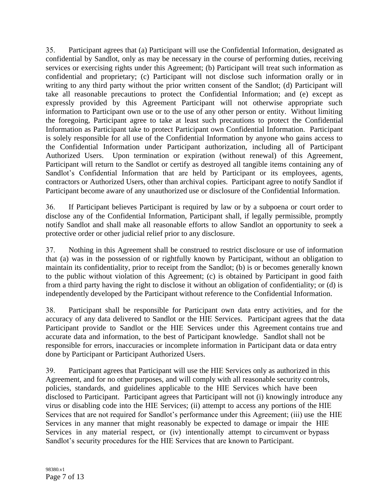35. Participant agrees that (a) Participant will use the Confidential Information, designated as confidential by Sandlot, only as may be necessary in the course of performing duties, receiving services or exercising rights under this Agreement; (b) Participant will treat such information as confidential and proprietary; (c) Participant will not disclose such information orally or in writing to any third party without the prior written consent of the Sandlot; (d) Participant will take all reasonable precautions to protect the Confidential Information; and (e) except as expressly provided by this Agreement Participant will not otherwise appropriate such information to Participant own use or to the use of any other person or entity. Without limiting the foregoing, Participant agree to take at least such precautions to protect the Confidential Information as Participant take to protect Participant own Confidential Information. Participant is solely responsible for all use of the Confidential Information by anyone who gains access to the Confidential Information under Participant authorization, including all of Participant Authorized Users. Upon termination or expiration (without renewal) of this Agreement, Participant will return to the Sandlot or certify as destroyed all tangible items containing any of Sandlot's Confidential Information that are held by Participant or its employees, agents, contractors or Authorized Users, other than archival copies. Participant agree to notify Sandlot if Participant become aware of any unauthorized use or disclosure of the Confidential Information.

36. If Participant believes Participant is required by law or by a subpoena or court order to disclose any of the Confidential Information, Participant shall, if legally permissible, promptly notify Sandlot and shall make all reasonable efforts to allow Sandlot an opportunity to seek a protective order or other judicial relief prior to any disclosure.

37. Nothing in this Agreement shall be construed to restrict disclosure or use of information that (a) was in the possession of or rightfully known by Participant, without an obligation to maintain its confidentiality, prior to receipt from the Sandlot; (b) is or becomes generally known to the public without violation of this Agreement; (c) is obtained by Participant in good faith from a third party having the right to disclose it without an obligation of confidentiality; or (d) is independently developed by the Participant without reference to the Confidential Information.

38. Participant shall be responsible for Participant own data entry activities, and for the accuracy of any data delivered to Sandlot or the HIE Services. Participant agrees that the data Participant provide to Sandlot or the HIE Services under this Agreement contains true and accurate data and information, to the best of Participant knowledge. Sandlot shall not be responsible for errors, inaccuracies or incomplete information in Participant data or data entry done by Participant or Participant Authorized Users.

39. Participant agrees that Participant will use the HIE Services only as authorized in this Agreement, and for no other purposes, and will comply with all reasonable security controls, policies, standards, and guidelines applicable to the HIE Services which have been disclosed to Participant. Participant agrees that Participant will not (i) knowingly introduce any virus or disabling code into the HIE Services; (ii) attempt to access any portions of the HIE Services that are not required for Sandlot's performance under this Agreement; (iii) use the HIE Services in any manner that might reasonably be expected to damage or impair the HIE Services in any material respect, or (iv) intentionally attempt to circumvent or bypass Sandlot's security procedures for the HIE Services that are known to Participant.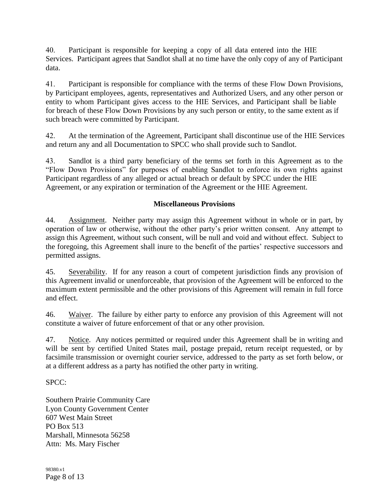40. Participant is responsible for keeping a copy of all data entered into the HIE Services. Participant agrees that Sandlot shall at no time have the only copy of any of Participant data.

41. Participant is responsible for compliance with the terms of these Flow Down Provisions, by Participant employees, agents, representatives and Authorized Users, and any other person or entity to whom Participant gives access to the HIE Services, and Participant shall be liable for breach of these Flow Down Provisions by any such person or entity, to the same extent as if such breach were committed by Participant.

42. At the termination of the Agreement, Participant shall discontinue use of the HIE Services and return any and all Documentation to SPCC who shall provide such to Sandlot.

43. Sandlot is a third party beneficiary of the terms set forth in this Agreement as to the "Flow Down Provisions" for purposes of enabling Sandlot to enforce its own rights against Participant regardless of any alleged or actual breach or default by SPCC under the HIE Agreement, or any expiration or termination of the Agreement or the HIE Agreement.

### **Miscellaneous Provisions**

44. Assignment. Neither party may assign this Agreement without in whole or in part, by operation of law or otherwise, without the other party's prior written consent. Any attempt to assign this Agreement, without such consent, will be null and void and without effect. Subject to the foregoing, this Agreement shall inure to the benefit of the parties' respective successors and permitted assigns.

45. Severability. If for any reason a court of competent jurisdiction finds any provision of this Agreement invalid or unenforceable, that provision of the Agreement will be enforced to the maximum extent permissible and the other provisions of this Agreement will remain in full force and effect.

46. Waiver. The failure by either party to enforce any provision of this Agreement will not constitute a waiver of future enforcement of that or any other provision.

47. Notice. Any notices permitted or required under this Agreement shall be in writing and will be sent by certified United States mail, postage prepaid, return receipt requested, or by facsimile transmission or overnight courier service, addressed to the party as set forth below, or at a different address as a party has notified the other party in writing.

### SPCC:

Southern Prairie Community Care Lyon County Government Center 607 West Main Street PO Box 513 Marshall, Minnesota 56258 Attn: Ms. Mary Fischer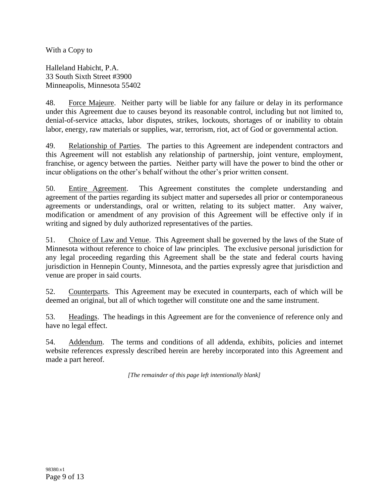With a Copy to

Halleland Habicht, P.A. 33 South Sixth Street #3900 Minneapolis, Minnesota 55402

48. Force Majeure. Neither party will be liable for any failure or delay in its performance under this Agreement due to causes beyond its reasonable control, including but not limited to, denial-of-service attacks, labor disputes, strikes, lockouts, shortages of or inability to obtain labor, energy, raw materials or supplies, war, terrorism, riot, act of God or governmental action.

49. Relationship of Parties. The parties to this Agreement are independent contractors and this Agreement will not establish any relationship of partnership, joint venture, employment, franchise, or agency between the parties. Neither party will have the power to bind the other or incur obligations on the other's behalf without the other's prior written consent.

50. Entire Agreement. This Agreement constitutes the complete understanding and agreement of the parties regarding its subject matter and supersedes all prior or contemporaneous agreements or understandings, oral or written, relating to its subject matter. Any waiver, modification or amendment of any provision of this Agreement will be effective only if in writing and signed by duly authorized representatives of the parties.

51. Choice of Law and Venue. This Agreement shall be governed by the laws of the State of Minnesota without reference to choice of law principles. The exclusive personal jurisdiction for any legal proceeding regarding this Agreement shall be the state and federal courts having jurisdiction in Hennepin County, Minnesota, and the parties expressly agree that jurisdiction and venue are proper in said courts.

52. Counterparts. This Agreement may be executed in counterparts, each of which will be deemed an original, but all of which together will constitute one and the same instrument.

53. Headings. The headings in this Agreement are for the convenience of reference only and have no legal effect.

54. Addendum. The terms and conditions of all addenda, exhibits, policies and internet website references expressly described herein are hereby incorporated into this Agreement and made a part hereof.

*[The remainder of this page left intentionally blank]*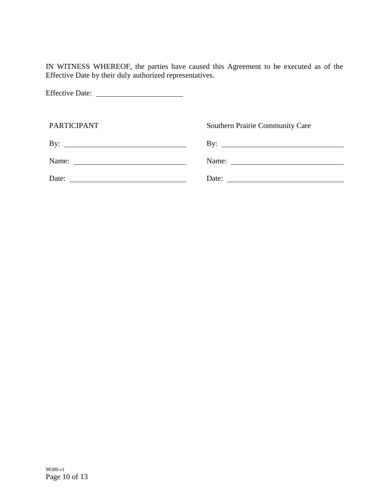IN WITNESS WHEREOF, the parties have caused this Agreement to be executed as of the Effective Date by their duly authorized representatives.

Effective Date:

| <b>PARTICIPANT</b>                                       | <b>Southern Prairie Community Care</b>                   |
|----------------------------------------------------------|----------------------------------------------------------|
|                                                          | By: $\overline{\phantom{a}}$                             |
| Name: $\frac{1}{\sqrt{1-\frac{1}{2}} \cdot \frac{1}{2}}$ | Name: $\frac{1}{\sqrt{1-\frac{1}{2}} \cdot \frac{1}{2}}$ |
| Date: $\qquad \qquad$                                    | Date: $\qquad \qquad$                                    |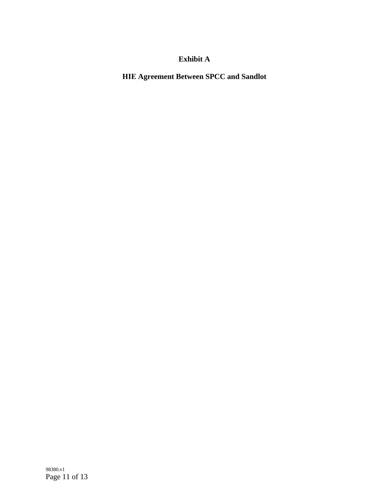# **Exhibit A**

**HIE Agreement Between SPCC and Sandlot**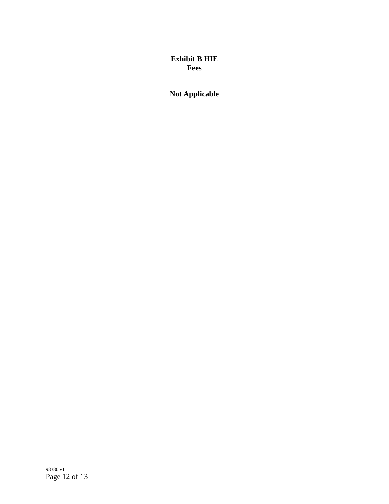# **Exhibit B HIE Fees**

**Not Applicable**